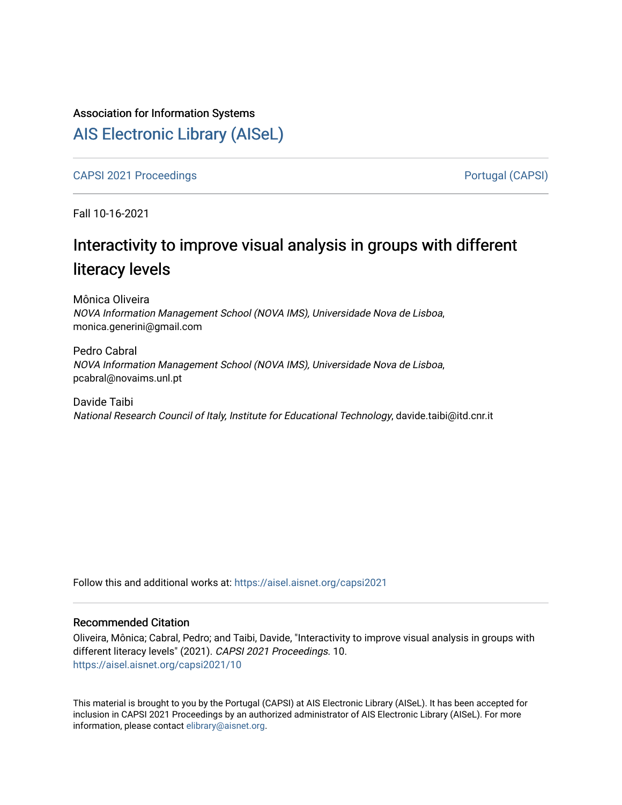## Association for Information Systems

## [AIS Electronic Library \(AISeL\)](https://aisel.aisnet.org/)

[CAPSI 2021 Proceedings](https://aisel.aisnet.org/capsi2021) **Portugal (CAPSI)** Portugal (CAPSI)

Fall 10-16-2021

# Interactivity to improve visual analysis in groups with different literacy levels

Mônica Oliveira NOVA Information Management School (NOVA IMS), Universidade Nova de Lisboa, monica.generini@gmail.com

Pedro Cabral NOVA Information Management School (NOVA IMS), Universidade Nova de Lisboa, pcabral@novaims.unl.pt

Davide Taibi National Research Council of Italy, Institute for Educational Technology, davide.taibi@itd.cnr.it

Follow this and additional works at: [https://aisel.aisnet.org/capsi2021](https://aisel.aisnet.org/capsi2021?utm_source=aisel.aisnet.org%2Fcapsi2021%2F10&utm_medium=PDF&utm_campaign=PDFCoverPages)

## Recommended Citation

Oliveira, Mônica; Cabral, Pedro; and Taibi, Davide, "Interactivity to improve visual analysis in groups with different literacy levels" (2021). CAPSI 2021 Proceedings. 10. [https://aisel.aisnet.org/capsi2021/10](https://aisel.aisnet.org/capsi2021/10?utm_source=aisel.aisnet.org%2Fcapsi2021%2F10&utm_medium=PDF&utm_campaign=PDFCoverPages) 

This material is brought to you by the Portugal (CAPSI) at AIS Electronic Library (AISeL). It has been accepted for inclusion in CAPSI 2021 Proceedings by an authorized administrator of AIS Electronic Library (AISeL). For more information, please contact [elibrary@aisnet.org.](mailto:elibrary@aisnet.org%3E)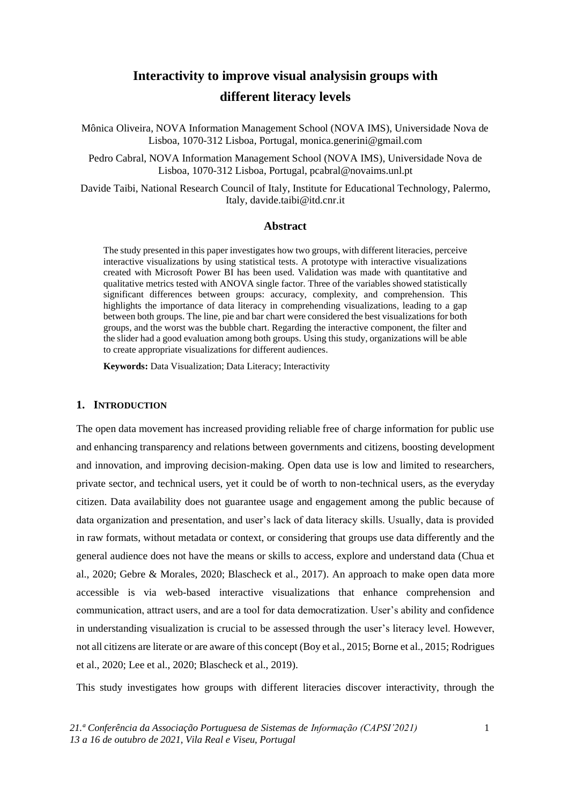## **Interactivity to improve visual analysisin groups with different literacy levels**

Mônica Oliveira, NOVA Information Management School (NOVA IMS), Universidade Nova de Lisboa, 1070-312 Lisboa, Portugal, [monica.generini@gmail.com](mailto:monica.generini@gmail.com)

Pedro Cabral, NOVA Information Management School (NOVA IMS), Universidade Nova de Lisboa, 1070-312 Lisboa, Portugal, [pcabral@novaims.unl.pt](mailto:pcabral@novaims.unl.pt)

Davide Taibi, National Research Council of Italy, Institute for Educational Technology, Palermo, Italy, [davide.taibi@itd.cnr.it](mailto:davide.taibi@itd.cnr.it)

## **Abstract**

The study presented in this paper investigates how two groups, with different literacies, perceive interactive visualizations by using statistical tests. A prototype with interactive visualizations created with Microsoft Power BI has been used. Validation was made with quantitative and qualitative metrics tested with ANOVA single factor. Three of the variables showed statistically significant differences between groups: accuracy, complexity, and comprehension. This highlights the importance of data literacy in comprehending visualizations, leading to a gap between both groups. The line, pie and bar chart were considered the best visualizations for both groups, and the worst was the bubble chart. Regarding the interactive component, the filter and the slider had a good evaluation among both groups. Using this study, organizations will be able to create appropriate visualizations for different audiences.

**Keywords:** Data Visualization; Data Literacy; Interactivity

#### **1. INTRODUCTION**

The open data movement has increased providing reliable free of charge information for public use and enhancing transparency and relations between governments and citizens, boosting development and innovation, and improving decision-making. Open data use is low and limited to researchers, private sector, and technical users, yet it could be of worth to non-technical users, as the everyday citizen. Data availability does not guarantee usage and engagement among the public because of data organization and presentation, and user's lack of data literacy skills. Usually, data is provided in raw formats, without metadata or context, or considering that groups use data differently and the general audience does not have the means or skills to access, explore and understand data (Chua et al., 2020; Gebre & Morales, 2020; Blascheck et al., 2017). An approach to make open data more accessible is via web-based interactive visualizations that enhance comprehension and communication, attract users, and are a tool for data democratization. User's ability and confidence in understanding visualization is crucial to be assessed through the user's literacy level. However, not all citizens are literate or are aware of this concept (Boy et al., 2015; Borne et al., 2015; Rodrigues et al., 2020; Lee et al., 2020; Blascheck et al., 2019).

This study investigates how groups with different literacies discover interactivity, through the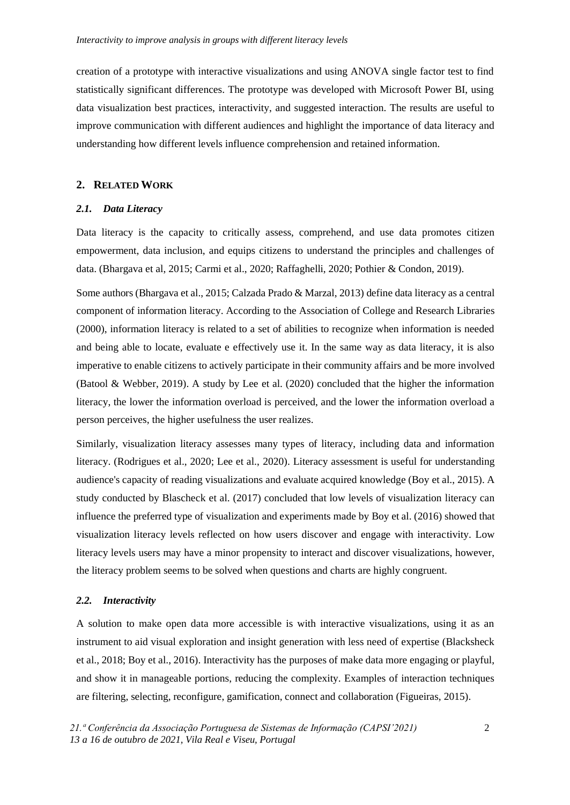creation of a prototype with interactive visualizations and using ANOVA single factor test to find statistically significant differences. The prototype was developed with Microsoft Power BI, using data visualization best practices, interactivity, and suggested interaction. The results are useful to improve communication with different audiences and highlight the importance of data literacy and understanding how different levels influence comprehension and retained information.

## **2. RELATED WORK**

#### *2.1. Data Literacy*

Data literacy is the capacity to critically assess, comprehend, and use data promotes citizen empowerment, data inclusion, and equips citizens to understand the principles and challenges of data. (Bhargava et al, 2015; Carmi et al., 2020; Raffaghelli, 2020; Pothier & Condon, 2019).

Some authors (Bhargava et al., 2015; Calzada Prado & Marzal, 2013) define data literacy as a central component of information literacy. According to the Association of College and Research Libraries (2000), information literacy is related to a set of abilities to recognize when information is needed and being able to locate, evaluate e effectively use it. In the same way as data literacy, it is also imperative to enable citizens to actively participate in their community affairs and be more involved (Batool & Webber, 2019). A study by Lee et al. (2020) concluded that the higher the information literacy, the lower the information overload is perceived, and the lower the information overload a person perceives, the higher usefulness the user realizes.

Similarly, visualization literacy assesses many types of literacy, including data and information literacy. (Rodrigues et al., 2020; Lee et al., 2020). Literacy assessment is useful for understanding audience's capacity of reading visualizations and evaluate acquired knowledge (Boy et al., 2015). A study conducted by Blascheck et al. (2017) concluded that low levels of visualization literacy can influence the preferred type of visualization and experiments made by Boy et al. (2016) showed that visualization literacy levels reflected on how users discover and engage with interactivity. Low literacy levels users may have a minor propensity to interact and discover visualizations, however, the literacy problem seems to be solved when questions and charts are highly congruent.

#### *2.2. Interactivity*

A solution to make open data more accessible is with interactive visualizations, using it as an instrument to aid visual exploration and insight generation with less need of expertise (Blacksheck et al., 2018; Boy et al., 2016). Interactivity has the purposes of make data more engaging or playful, and show it in manageable portions, reducing the complexity. Examples of interaction techniques are filtering, selecting, reconfigure, gamification, connect and collaboration (Figueiras, 2015).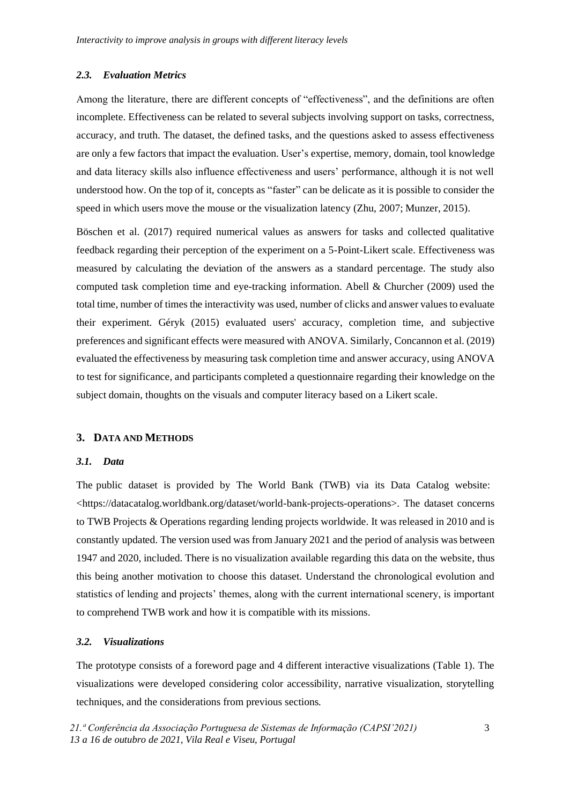## *2.3. Evaluation Metrics*

Among the literature, there are different concepts of "effectiveness", and the definitions are often incomplete. Effectiveness can be related to several subjects involving support on tasks, correctness, accuracy, and truth. The dataset, the defined tasks, and the questions asked to assess effectiveness are only a few factors that impact the evaluation. User's expertise, memory, domain, tool knowledge and data literacy skills also influence effectiveness and users' performance, although it is not well understood how. On the top of it, concepts as "faster" can be delicate as it is possible to consider the speed in which users move the mouse or the visualization latency (Zhu, 2007; Munzer, 2015).

Böschen et al. (2017) required numerical values as answers for tasks and collected qualitative feedback regarding their perception of the experiment on a 5-Point-Likert scale. Effectiveness was measured by calculating the deviation of the answers as a standard percentage. The study also computed task completion time and eye-tracking information. Abell & Churcher (2009) used the total time, number of times the interactivity was used, number of clicks and answer values to evaluate their experiment. Géryk (2015) evaluated users' accuracy, completion time, and subjective preferences and significant effects were measured with ANOVA. Similarly, Concannon et al. (2019) evaluated the effectiveness by measuring task completion time and answer accuracy, using ANOVA to test for significance, and participants completed a questionnaire regarding their knowledge on the subject domain, thoughts on the visuals and computer literacy based on a Likert scale.

#### **3. DATA AND METHODS**

## *3.1. Data*

The public dataset is provided by The World Bank (TWB) via its Data Catalog website: <https://datacatalog.worldbank.org/dataset/world-bank-projects-operations>. The dataset concerns to TWB Projects & Operations regarding lending projects worldwide. It was released in 2010 and is constantly updated. The version used was from January 2021 and the period of analysis was between 1947 and 2020, included. There is no visualization available regarding this data on the website, thus this being another motivation to choose this dataset. Understand the chronological evolution and statistics of lending and projects' themes, along with the current international scenery, is important to comprehend TWB work and how it is compatible with its missions.

## *3.2. Visualizations*

The prototype consists of a foreword page and 4 different interactive visualizations (Table 1). The visualizations were developed considering color accessibility, narrative visualization, storytelling techniques, and the considerations from previous sections.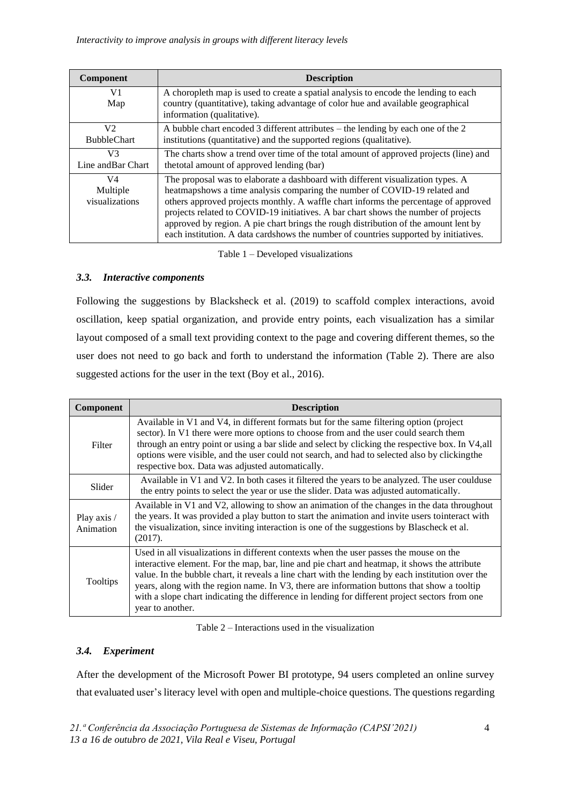| <b>Component</b>                     | <b>Description</b>                                                                                                                                                                                                                                                                                                                                                                                                                                                                                                       |  |  |
|--------------------------------------|--------------------------------------------------------------------------------------------------------------------------------------------------------------------------------------------------------------------------------------------------------------------------------------------------------------------------------------------------------------------------------------------------------------------------------------------------------------------------------------------------------------------------|--|--|
| V <sub>1</sub><br>Map                | A choropleth map is used to create a spatial analysis to encode the lending to each<br>country (quantitative), taking advantage of color hue and available geographical<br>information (qualitative).                                                                                                                                                                                                                                                                                                                    |  |  |
| V <sub>2</sub><br><b>BubbleChart</b> | A bubble chart encoded 3 different attributes $-$ the lending by each one of the 2<br>institutions (quantitative) and the supported regions (qualitative).                                                                                                                                                                                                                                                                                                                                                               |  |  |
| V <sub>3</sub><br>Line and Bar Chart | The charts show a trend over time of the total amount of approved projects (line) and<br>the total amount of approved lending (bar)                                                                                                                                                                                                                                                                                                                                                                                      |  |  |
| V4<br>Multiple<br>visualizations     | The proposal was to elaborate a dashboard with different visualization types. A<br>heatmapshows a time analysis comparing the number of COVID-19 related and<br>others approved projects monthly. A waffle chart informs the percentage of approved<br>projects related to COVID-19 initiatives. A bar chart shows the number of projects<br>approved by region. A pie chart brings the rough distribution of the amount lent by<br>each institution. A data cardshows the number of countries supported by initiatives. |  |  |

Table 1 – Developed visualizations

## *3.3. Interactive components*

Following the suggestions by Blacksheck et al. (2019) to scaffold complex interactions, avoid oscillation, keep spatial organization, and provide entry points, each visualization has a similar layout composed of a small text providing context to the page and covering different themes, so the user does not need to go back and forth to understand the information (Table 2). There are also suggested actions for the user in the text (Boy et al., 2016).

| Component                | <b>Description</b>                                                                                                                                                                                                                                                                                                                                                                                                                                                                                                |  |  |  |
|--------------------------|-------------------------------------------------------------------------------------------------------------------------------------------------------------------------------------------------------------------------------------------------------------------------------------------------------------------------------------------------------------------------------------------------------------------------------------------------------------------------------------------------------------------|--|--|--|
| Filter                   | Available in V1 and V4, in different formats but for the same filtering option (project<br>sector). In V1 there were more options to choose from and the user could search them<br>through an entry point or using a bar slide and select by clicking the respective box. In V4, all<br>options were visible, and the user could not search, and had to selected also by clicking the<br>respective box. Data was adjusted automatically.                                                                         |  |  |  |
| Slider                   | Available in V1 and V2. In both cases it filtered the years to be analyzed. The user coulduse<br>the entry points to select the year or use the slider. Data was adjusted automatically.                                                                                                                                                                                                                                                                                                                          |  |  |  |
| Play axis /<br>Animation | Available in V1 and V2, allowing to show an animation of the changes in the data throughout<br>the years. It was provided a play button to start the animation and invite users to interact with<br>the visualization, since inviting interaction is one of the suggestions by Blascheck et al.<br>(2017).                                                                                                                                                                                                        |  |  |  |
| Tooltips                 | Used in all visualizations in different contexts when the user passes the mouse on the<br>interactive element. For the map, bar, line and pie chart and heatmap, it shows the attribute<br>value. In the bubble chart, it reveals a line chart with the lending by each institution over the<br>years, along with the region name. In V3, there are information buttons that show a tooltip<br>with a slope chart indicating the difference in lending for different project sectors from one<br>year to another. |  |  |  |

Table 2 – Interactions used in the visualization

## *3.4. Experiment*

After the development of the Microsoft Power BI prototype, 94 users completed an online survey that evaluated user's literacy level with open and multiple-choice questions. The questions regarding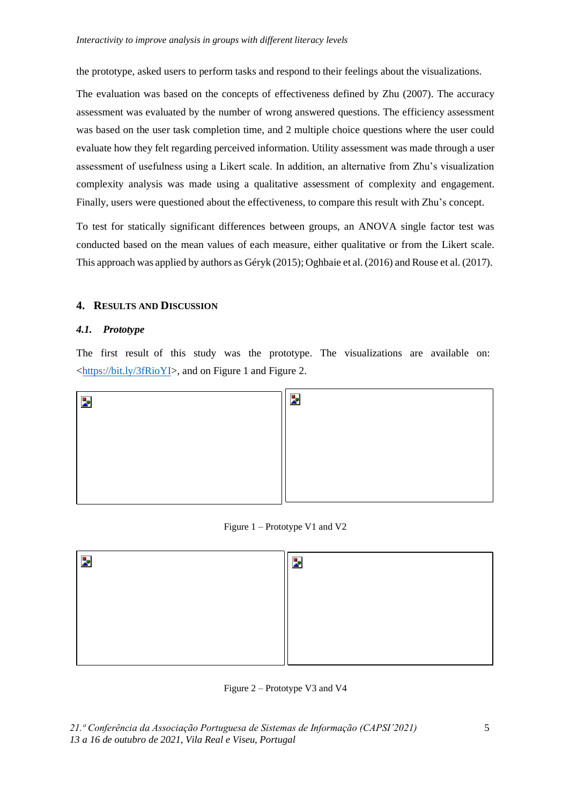the prototype, asked users to perform tasks and respond to their feelings about the visualizations.

The evaluation was based on the concepts of effectiveness defined by Zhu (2007). The accuracy assessment was evaluated by the number of wrong answered questions. The efficiency assessment was based on the user task completion time, and 2 multiple choice questions where the user could evaluate how they felt regarding perceived information. Utility assessment was made through a user assessment of usefulness using a Likert scale. In addition, an alternative from Zhu's visualization complexity analysis was made using a qualitative assessment of complexity and engagement. Finally, users were questioned about the effectiveness, to compare this result with Zhu's concept.

To test for statically significant differences between groups, an ANOVA single factor test was conducted based on the mean values of each measure, either qualitative or from the Likert scale. This approach was applied by authors as Géryk (2015); Oghbaie et al. (2016) and Rouse et al. (2017).

## **4. RESULTS AND DISCUSSION**

## *4.1. Prototype*

The first result of this study was the prototype. The visualizations are available on: [<https://bit.ly/3fRioYI>](https://bit.ly/3fRioYI), and on Figure 1 and Figure 2.



Figure 1 – Prototype V1 and V2



Figure 2 – Prototype V3 and V4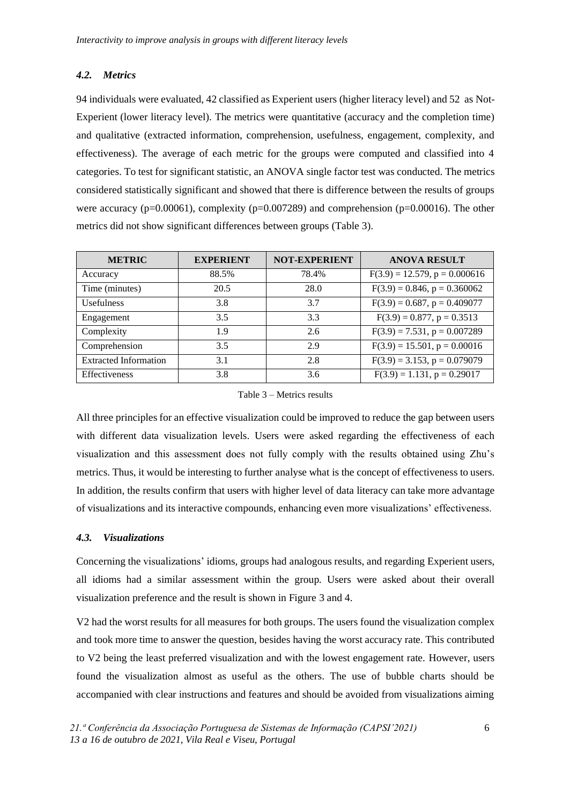## *4.2. Metrics*

94 individuals were evaluated, 42 classified as Experient users (higher literacy level) and 52 as Not-Experient (lower literacy level). The metrics were quantitative (accuracy and the completion time) and qualitative (extracted information, comprehension, usefulness, engagement, complexity, and effectiveness). The average of each metric for the groups were computed and classified into 4 categories. To test for significant statistic, an ANOVA single factor test was conducted. The metrics considered statistically significant and showed that there is difference between the results of groups were accuracy ( $p=0.00061$ ), complexity ( $p=0.007289$ ) and comprehension ( $p=0.00016$ ). The other metrics did not show significant differences between groups (Table 3).

| <b>METRIC</b>                | <b>EXPERIENT</b> | <b>NOT-EXPERIENT</b> | <b>ANOVA RESULT</b>                |
|------------------------------|------------------|----------------------|------------------------------------|
| Accuracy                     | 88.5%            | 78.4%                | $F(3.9) = 12.579$ , $p = 0.000616$ |
| Time (minutes)               | 20.5             | 28.0                 | $F(3.9) = 0.846$ , $p = 0.360062$  |
| <b>Usefulness</b>            | 3.8              | 3.7                  | $F(3.9) = 0.687$ , $p = 0.409077$  |
| Engagement                   | 3.5              | 3.3                  | $F(3.9) = 0.877$ , $p = 0.3513$    |
| Complexity                   | 1.9              | 2.6                  | $F(3.9) = 7.531$ , $p = 0.007289$  |
| Comprehension                | 3.5              | 2.9                  | $F(3.9) = 15.501$ , $p = 0.00016$  |
| <b>Extracted Information</b> | 3.1              | 2.8                  | $F(3.9) = 3.153$ , $p = 0.079079$  |
| Effectiveness                | 3.8              | 3.6                  | $F(3.9) = 1.131$ , $p = 0.29017$   |

Table 3 – Metrics results

All three principles for an effective visualization could be improved to reduce the gap between users with different data visualization levels. Users were asked regarding the effectiveness of each visualization and this assessment does not fully comply with the results obtained using Zhu's metrics. Thus, it would be interesting to further analyse what is the concept of effectiveness to users. In addition, the results confirm that users with higher level of data literacy can take more advantage of visualizations and its interactive compounds, enhancing even more visualizations' effectiveness.

## *4.3. Visualizations*

Concerning the visualizations' idioms, groups had analogous results, and regarding Experient users, all idioms had a similar assessment within the group. Users were asked about their overall visualization preference and the result is shown in Figure 3 and 4.

V2 had the worst results for all measures for both groups. The users found the visualization complex and took more time to answer the question, besides having the worst accuracy rate. This contributed to V2 being the least preferred visualization and with the lowest engagement rate. However, users found the visualization almost as useful as the others. The use of bubble charts should be accompanied with clear instructions and features and should be avoided from visualizations aiming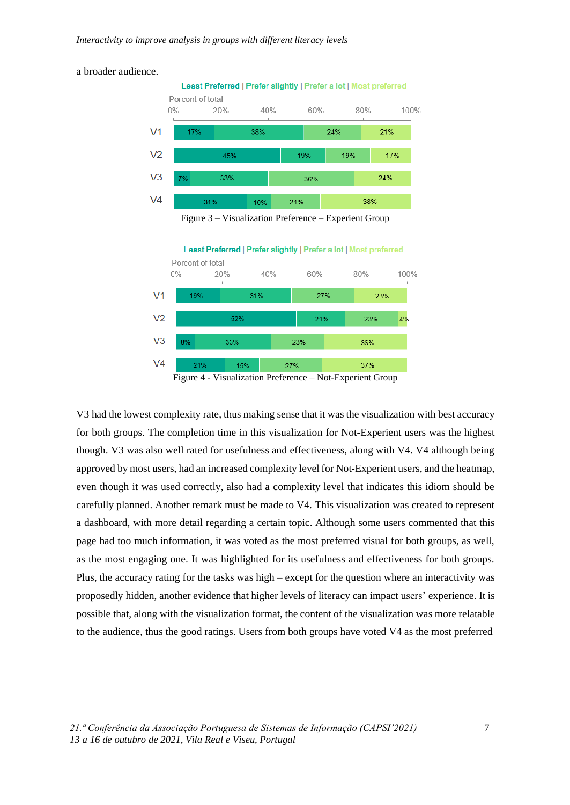#### a broader audience.



Figure 3 – Visualization Preference – Experient Group



Figure 4 - Visualization Preference – Not-Experient Group

V3 had the lowest complexity rate, thus making sense that it was the visualization with best accuracy for both groups. The completion time in this visualization for Not-Experient users was the highest though. V3 was also well rated for usefulness and effectiveness, along with V4. V4 although being approved by most users, had an increased complexity level for Not-Experient users, and the heatmap, even though it was used correctly, also had a complexity level that indicates this idiom should be carefully planned. Another remark must be made to V4. This visualization was created to represent a dashboard, with more detail regarding a certain topic. Although some users commented that this page had too much information, it was voted as the most preferred visual for both groups, as well, as the most engaging one. It was highlighted for its usefulness and effectiveness for both groups. Plus, the accuracy rating for the tasks was high – except for the question where an interactivity was proposedly hidden, another evidence that higher levels of literacy can impact users' experience. It is possible that, along with the visualization format, the content of the visualization was more relatable to the audience, thus the good ratings. Users from both groups have voted V4 as the most preferred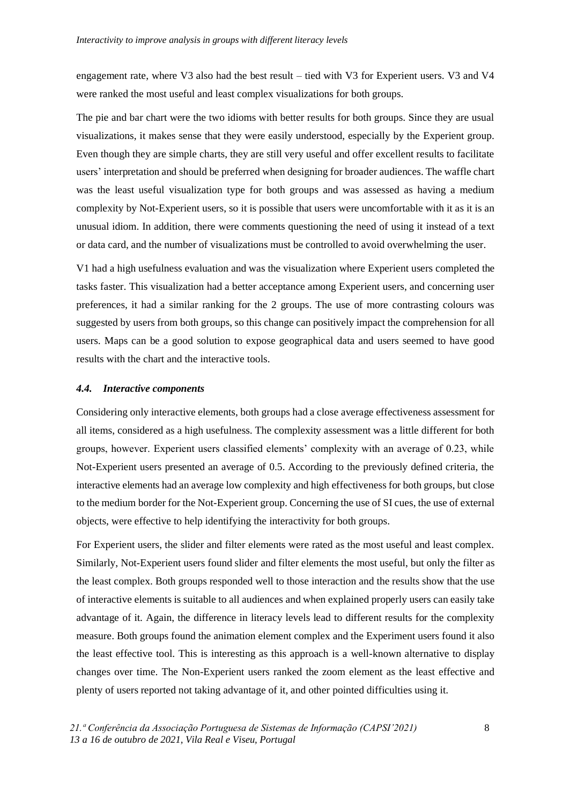engagement rate, where V3 also had the best result – tied with V3 for Experient users. V3 and V4 were ranked the most useful and least complex visualizations for both groups.

The pie and bar chart were the two idioms with better results for both groups. Since they are usual visualizations, it makes sense that they were easily understood, especially by the Experient group. Even though they are simple charts, they are still very useful and offer excellent results to facilitate users' interpretation and should be preferred when designing for broader audiences. The waffle chart was the least useful visualization type for both groups and was assessed as having a medium complexity by Not-Experient users, so it is possible that users were uncomfortable with it as it is an unusual idiom. In addition, there were comments questioning the need of using it instead of a text or data card, and the number of visualizations must be controlled to avoid overwhelming the user.

V1 had a high usefulness evaluation and was the visualization where Experient users completed the tasks faster. This visualization had a better acceptance among Experient users, and concerning user preferences, it had a similar ranking for the 2 groups. The use of more contrasting colours was suggested by users from both groups, so this change can positively impact the comprehension for all users. Maps can be a good solution to expose geographical data and users seemed to have good results with the chart and the interactive tools.

## *4.4. Interactive components*

Considering only interactive elements, both groups had a close average effectiveness assessment for all items, considered as a high usefulness. The complexity assessment was a little different for both groups, however. Experient users classified elements' complexity with an average of 0.23, while Not-Experient users presented an average of 0.5. According to the previously defined criteria, the interactive elements had an average low complexity and high effectiveness for both groups, but close to the medium border for the Not-Experient group. Concerning the use of SI cues, the use of external objects, were effective to help identifying the interactivity for both groups.

For Experient users, the slider and filter elements were rated as the most useful and least complex. Similarly, Not-Experient users found slider and filter elements the most useful, but only the filter as the least complex. Both groups responded well to those interaction and the results show that the use of interactive elements is suitable to all audiences and when explained properly users can easily take advantage of it. Again, the difference in literacy levels lead to different results for the complexity measure. Both groups found the animation element complex and the Experiment users found it also the least effective tool. This is interesting as this approach is a well-known alternative to display changes over time. The Non-Experient users ranked the zoom element as the least effective and plenty of users reported not taking advantage of it, and other pointed difficulties using it.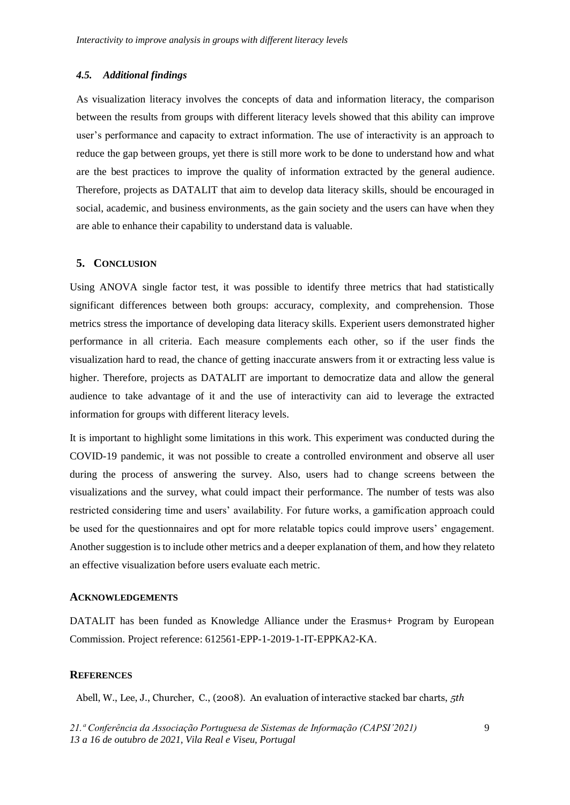## *4.5. Additional findings*

As visualization literacy involves the concepts of data and information literacy, the comparison between the results from groups with different literacy levels showed that this ability can improve user's performance and capacity to extract information. The use of interactivity is an approach to reduce the gap between groups, yet there is still more work to be done to understand how and what are the best practices to improve the quality of information extracted by the general audience. Therefore, projects as DATALIT that aim to develop data literacy skills, should be encouraged in social, academic, and business environments, as the gain society and the users can have when they are able to enhance their capability to understand data is valuable.

#### **5. CONCLUSION**

Using ANOVA single factor test, it was possible to identify three metrics that had statistically significant differences between both groups: accuracy, complexity, and comprehension. Those metrics stress the importance of developing data literacy skills. Experient users demonstrated higher performance in all criteria. Each measure complements each other, so if the user finds the visualization hard to read, the chance of getting inaccurate answers from it or extracting less value is higher. Therefore, projects as DATALIT are important to democratize data and allow the general audience to take advantage of it and the use of interactivity can aid to leverage the extracted information for groups with different literacy levels.

It is important to highlight some limitations in this work. This experiment was conducted during the COVID-19 pandemic, it was not possible to create a controlled environment and observe all user during the process of answering the survey. Also, users had to change screens between the visualizations and the survey, what could impact their performance. The number of tests was also restricted considering time and users' availability. For future works, a gamification approach could be used for the questionnaires and opt for more relatable topics could improve users' engagement. Another suggestion is to include other metrics and a deeper explanation of them, and how they relateto an effective visualization before users evaluate each metric.

#### **ACKNOWLEDGEMENTS**

DATALIT has been funded as Knowledge Alliance under the Erasmus+ Program by European Commission. Project reference: 612561-EPP-1-2019-1-IT-EPPKA2-KA.

## **REFERENCES**

Abell, W., Lee, J., Churcher, C., (2008). An evaluation of interactive stacked bar charts, *5th*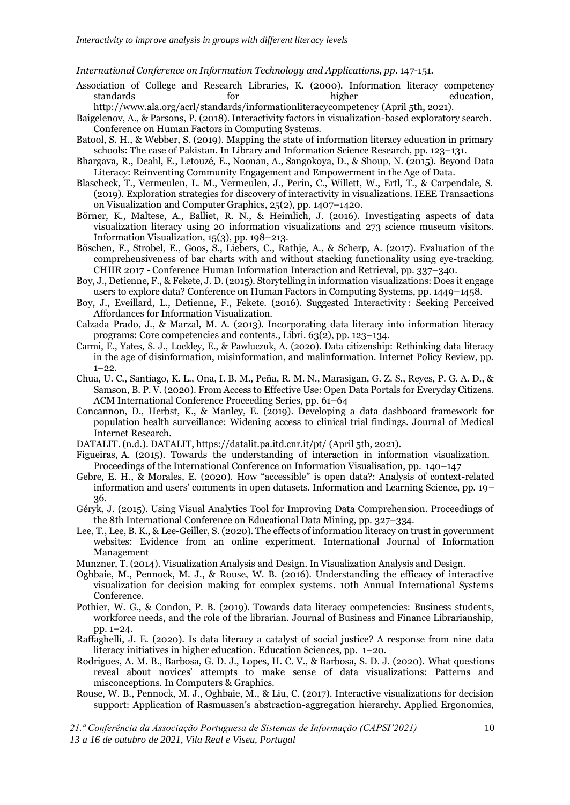*International Conference on Information Technology and Applications, pp*. 147-151.

Association of College and Research Libraries, K. (2000). Information literacy competency standards for higher education,

<http://www.ala.org/acrl/standards/informationliteracycompetency> (April 5th, 2021).

- Baigelenov, A., & Parsons, P. (2018). Interactivity factors in visualization-based exploratory search. Conference on Human Factors in Computing Systems.
- Batool, S. H., & Webber, S. (2019). Mapping the state of information literacy education in primary schools: The case of Pakistan. In Library and Information Science Research, pp. 123–131.
- Bhargava, R., Deahl, E., Letouzé, E., Noonan, A., Sangokoya, D., & Shoup, N. (2015). Beyond Data Literacy: Reinventing Community Engagement and Empowerment in the Age of Data.
- Blascheck, T., Vermeulen, L. M., Vermeulen, J., Perin, C., Willett, W., Ertl, T., & Carpendale, S. (2019). Exploration strategies for discovery of interactivity in visualizations. IEEE Transactions on Visualization and Computer Graphics, 25(2), pp. 1407–1420.
- Börner, K., Maltese, A., Balliet, R. N., & Heimlich, J. (2016). Investigating aspects of data visualization literacy using 20 information visualizations and 273 science museum visitors. Information Visualization, 15(3), pp. 198–213.
- Böschen, F., Strobel, E., Goos, S., Liebers, C., Rathje, A., & Scherp, A. (2017). Evaluation of the comprehensiveness of bar charts with and without stacking functionality using eye-tracking. CHIIR 2017 - Conference Human Information Interaction and Retrieval, pp. 337–340.
- Boy, J., Detienne, F., & Fekete, J. D.(2015). Storytelling in information visualizations: Does it engage users to explore data? Conference on Human Factors in Computing Systems, pp. 1449–1458.
- Boy, J., Eveillard, L., Detienne, F., Fekete. (2016). Suggested Interactivity : Seeking Perceived Affordances for Information Visualization.
- Calzada Prado, J., & Marzal, M. A. (2013). Incorporating data literacy into information literacy programs: Core competencies and contents., Libri. 63(2), pp. 123–134.
- Carmi, E., Yates, S. J., Lockley, E., & Pawluczuk, A. (2020). Data citizenship: Rethinking data literacy in the age of disinformation, misinformation, and malinformation. Internet Policy Review, pp.  $1-22.$
- Chua, U. C., Santiago, K. L., Ona, I. B. M., Peña, R. M. N., Marasigan, G. Z. S., Reyes, P. G. A. D., & Samson, B. P. V. (2020). From Access to Effective Use: Open Data Portals for Everyday Citizens. ACM International Conference Proceeding Series, pp. 61–64
- Concannon, D., Herbst, K., & Manley, E. (2019). Developing a data dashboard framework for population health surveillance: Widening access to clinical trial findings. Journal of Medical Internet Research.
- DATALIT. (n.d.). DATALIT, https://datalit.pa.itd.cnr.it/pt/ (April 5th, 2021).
- Figueiras, A. (2015). Towards the understanding of interaction in information visualization. Proceedings of the International Conference on Information Visualisation, pp. 140–147
- Gebre, E. H., & Morales, E. (2020). How "accessible" is open data?: Analysis of context-related information and users' comments in open datasets. Information and Learning Science, pp. 19– 36.
- Géryk, J. (2015). Using Visual Analytics Tool for Improving Data Comprehension. Proceedings of the 8th International Conference on Educational Data Mining, pp. 327–334.
- Lee, T., Lee, B. K., & Lee-Geiller, S. (2020). The effects of information literacy on trust in government websites: Evidence from an online experiment. International Journal of Information Management
- Munzner, T. (2014). Visualization Analysis and Design. In Visualization Analysis and Design.
- Oghbaie, M., Pennock, M. J., & Rouse, W. B. (2016). Understanding the efficacy of interactive visualization for decision making for complex systems. 10th Annual International Systems Conference.
- Pothier, W. G., & Condon, P. B. (2019). Towards data literacy competencies: Business students, workforce needs, and the role of the librarian. Journal of Business and Finance Librarianship, pp. 1–24.
- Raffaghelli, J. E. (2020). Is data literacy a catalyst of social justice? A response from nine data literacy initiatives in higher education. Education Sciences, pp. 1–20.
- Rodrigues, A. M. B., Barbosa, G. D. J., Lopes, H. C. V., & Barbosa, S. D. J. (2020). What questions reveal about novices' attempts to make sense of data visualizations: Patterns and misconceptions. In Computers & Graphics.
- Rouse, W. B., Pennock, M. J., Oghbaie, M., & Liu, C. (2017). Interactive visualizations for decision support: Application of Rasmussen's abstraction-aggregation hierarchy. Applied Ergonomics,

*21.ª Conferência da Associação Portuguesa de Sistemas de Informação (CAPSI'2021)*

*13 a 16 de outubro de 2021, Vila Real e Viseu, Portugal*